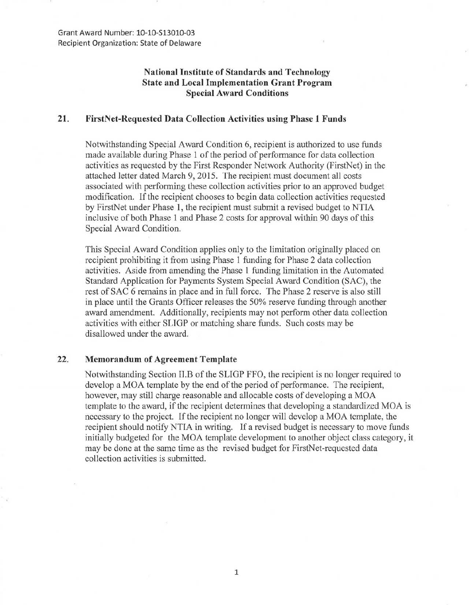## **National Institute of Standards and Technology State and Local Implementation Grant Program Special Award Conditions**

## **21. FirstNet-Requested Data Collection Activities using Phase 1 Funds**

Notwithstanding Special Award Condition 6, recipient is authorized to use funds made available during Phase 1 of the period of performance for data collection activities as requested by the First Responder Network Authority (FirstNet) in the attached letter dated March 9, 2015. The recipient must document all costs associated with performing these collection activities prior to an approved budget modification. If the recipient chooses to begin data collection activities requested by FirstNet under Phase **1,** the recipient must submit a revised budget to NTIA inclusive of both Phase 1 and Phase 2 costs for approval within 90 days of this Special Award Condition.

This Special Award Condition applies only to the limitation originally placed on recipient prohibiting it from using Phase 1 funding for Phase 2 data collection activities. Aside from amending the Phase 1 funding limitation in the Automated Standard Application for Payments System Special Award Condition (SAC), the rest of SAC 6 remains in place and in full force. The Phase 2 reserve is also still in place until the Grants Officer releases the 50% reserve funding through another award amendment. Additionally, recipients may not perform other data collection activities with either SLIGP or matching share funds. Such costs may be disallowed under the award.

## 22. **Memorandum of Agreement Template**

Notwithstanding Section II.B of the SLIGP FFO, the recipient is no longer required to develop a MOA template by the end of the period of performance. The recipient, however, may still charge reasonable and allocable costs of developing a MOA template to the award, if the recipient determines that developing a standardized MOA is necessary to the project. If the recipient no longer will develop a MOA template, the recipient should notify NTIA in writing. If a revised budget is necessary to move funds initially budgeted for the MOA template development to another object class category, it may be done at the same time as the revised budget for FirstNet-requested data collection activities is submitted.

1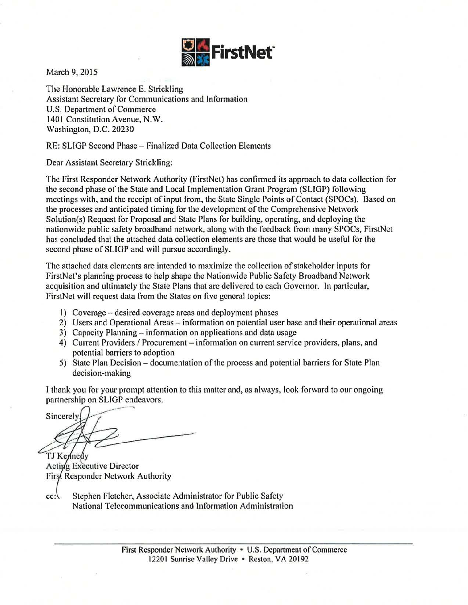

March 9, 2015

The Honorable Lawrence E. Strickling Assistant Secretary for Communications and Information U.S. Department of Commerce 1401 Constitution Avenue, N.W. Washington, D.C. 20230

## RE: SLIGP Second Phase- Finalized Data Collection Elements

Dear Assistant Secretary Strickling:

The First Responder Network Authority (FirstNet) has confirmed its approach to data collection for the second phase of the State and Local Implementation Grant Program (SLIGP) following meetings with, and the receipt of input from, the State Single Points of Contact (SPOCs). Based on the processes and anticipated timing for the development of the Comprehensive Network Solution(s) Request for Proposal and State Plans for building, operating, and deploying the nationwide public safety broadband network, along with the feedback from many SPOCs, FirstNct has concluded that the attached data collection elements are those that would be useful for the second phase of SLIGP and will pursue accordingly.

The attached data elements are intended to maximize the collection of stakeholder inputs for FirstNet's planning process to help shape the Nationwide Public Safety Broadband Network acquisition and ultimately the State Plans that are delivered to each Governor. In particular, FirstNet will request data from the States on five general topics:

- 1) Coverage -desired coverage areas and deployment phases
- 2) Users and Operational Areas information on potential user base and their operational areas
- 3) Capacity Planning- information on applications and data usage
- 4) Current Providers / Procurement information on current service providers, plans, and potential barriers to adoption
- 5) State Plan Decision documentation of the process and potential barriers for State Plan decision-making

I thank you for your prompt attention to this matter and, as always, look forward to our ongoing partnership on SLIGP endeavors.

Sincerely

TJ Kennedy Acting Executive Director Firs. Responder Network Authority

cc: Stephen Fletcher, Associate Administrator for Public Safety National Telecommunications and Information Administration